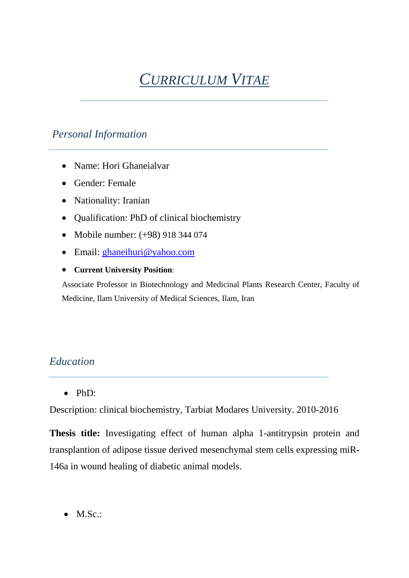# *CURRICULUM VITAE*

# *Personal Information*

- Name: Hori Ghaneialvar
- Gender: Female
- Nationality: Iranian
- Qualification: PhD of clinical biochemistry
- Mobile number: (+98) 918 344 074
- Email: [ghaneihuri@yahoo.com](mailto:ghaneihuri@yahoo.com)
- **Current University Position**:

Associate Professor in Biotechnology and Medicinal Plants Research Center, Faculty of Medicine, Ilam University of Medical Sciences, Ilam, Iran

# *Education*

PhD:

Description: clinical biochemistry, Tarbiat Modares University. 2010-2016

**Thesis title:** Investigating effect of human alpha 1-antitrypsin protein and transplantion of adipose tissue derived mesenchymal stem cells expressing miR-146a in wound healing of diabetic animal models.

• M.Sc.: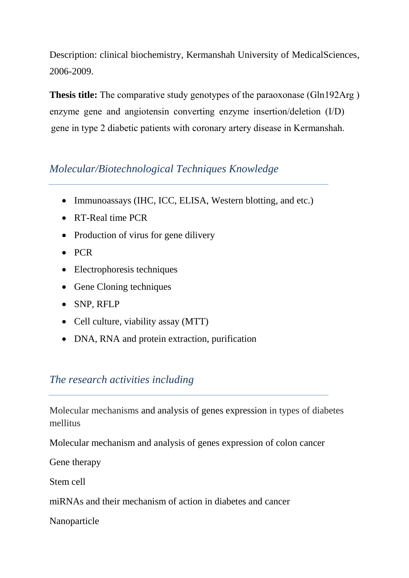Description: clinical biochemistry, Kermanshah University of MedicalSciences, 2006-2009.

**Thesis title:** The comparative study genotypes of the paraoxonase (Gln192Arg ) enzyme gene and angiotensin converting enzyme insertion/deletion (I/D) gene in type 2 diabetic patients with coronary artery disease in Kermanshah.

# *Molecular/Biotechnological Techniques Knowledge*

- Immunoassays (IHC, ICC, ELISA, Western blotting, and etc.)
- RT-Real time PCR
- Production of virus for gene dilivery
- $\bullet$  PCR
- Electrophoresis techniques
- Gene Cloning techniques
- SNP, RFLP
- Cell culture, viability assay (MTT)
- DNA, RNA and protein extraction, purification

# *The research activities including*

Molecular mechanisms and analysis of genes expression in types of diabetes mellitus

Molecular mechanism and analysis of genes expression of colon cancer

Gene therapy

Stem cell

miRNAs and their mechanism of action in diabetes and cancer

Nanoparticle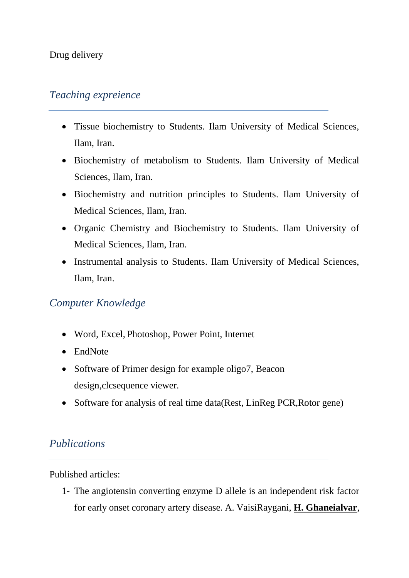#### Drug delivery

### *Teaching expreience*

- Tissue biochemistry to Students. Ilam University of Medical Sciences, Ilam, Iran.
- Biochemistry of metabolism to Students. Ilam University of Medical Sciences, Ilam, Iran.
- Biochemistry and nutrition principles to Students. Ilam University of Medical Sciences, Ilam, Iran.
- Organic Chemistry and Biochemistry to Students. Ilam University of Medical Sciences, Ilam, Iran.
- Instrumental analysis to Students. Ilam University of Medical Sciences, Ilam, Iran.

# *Computer Knowledge*

- Word, Excel, Photoshop, Power Point, Internet
- EndNote
- Software of Primer design for example oligo7, Beacon design,clcsequence viewer.
- Software for analysis of real time data(Rest, LinReg PCR, Rotor gene)

# *Publications*

Published articles:

1- The angiotensin converting enzyme D allele is an independent risk factor for early onset coronary artery disease. A. VaisiRaygani, **H. Ghaneialvar**,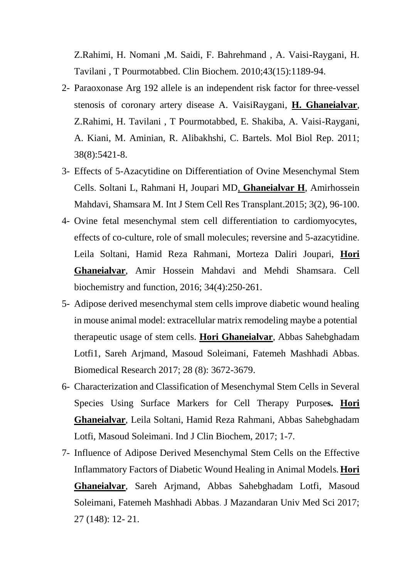Z.Rahimi, H. Nomani ,M. Saidi, F. Bahrehmand , A. Vaisi-Raygani, H. Tavilani , T Pourmotabbed. Clin Biochem. 2010;43(15):1189-94.

- 2- Paraoxonase Arg 192 allele is an independent risk factor for three-vessel stenosis of coronary artery disease A. VaisiRaygani, **H. Ghaneialvar**, Z.Rahimi, H. Tavilani , T Pourmotabbed, E. Shakiba, A. Vaisi-Raygani, A. Kiani, M. Aminian, R. Alibakhshi, C. Bartels. [Mol Biol Rep.](https://www.ncbi.nlm.nih.gov/pubmed/21465165) 2011; 38(8):5421-8.
- 3- Effects of 5-Azacytidine on Differentiation of Ovine Mesenchymal Stem Cells. Soltani L, Rahmani H, Joupari MD, **Ghaneialvar H**, Amirhossein Mahdavi, Shamsara M. Int J Stem Cell Res Transplant.2015; 3(2), 96-100.
- 4- Ovine fetal mesenchymal stem cell differentiation to cardiomyocytes, effects of co-culture, role of small molecules; reversine and 5-azacytidine. Leila Soltani, Hamid Reza Rahmani, Morteza Daliri Joupari, **Hori Ghaneialvar**, Amir Hossein Mahdavi and Mehdi Shamsara. Cell biochemistry and function, 2016; 34(4):250-261.
- 5- Adipose derived mesenchymal stem cells improve diabetic wound healing in mouse animal model: extracellular matrix remodeling maybe a potential therapeutic usage of stem cells. **Hori Ghaneialvar**, Abbas Sahebghadam Lotfi1, Sareh Arjmand, Masoud Soleimani, Fatemeh Mashhadi Abbas. Biomedical Research 2017; 28 (8): 3672-3679.
- 6- Characterization and Classification of Mesenchymal Stem Cells in Several Species Using Surface Markers for Cell Therapy Purpose**s. Hori Ghaneialvar**, Leila Soltani, Hamid Reza Rahmani, Abbas Sahebghadam Lotfi, Masoud Soleimani. Ind J Clin Biochem, 2017; 1-7.
- 7- Influence of Adipose Derived Mesenchymal Stem Cells on the Effective Inflammatory Factors of Diabetic Wound Healing in Animal Models*.***[Hori](https://jmums.mazums.ac.ir/search.php?sid=1&slc_lang=en&auth=Ghaneialvar)  [Ghaneialvar](https://jmums.mazums.ac.ir/search.php?sid=1&slc_lang=en&auth=Ghaneialvar)**, [Sareh Arjmand,](https://jmums.mazums.ac.ir/search.php?sid=1&slc_lang=en&auth=Arjmand) [Abbas Sahebghadam Lotfi,](https://jmums.mazums.ac.ir/search.php?sid=1&slc_lang=en&auth=Sahebghadam+Lotfi) [Masoud](https://jmums.mazums.ac.ir/search.php?sid=1&slc_lang=en&auth=Soleimani)  [Soleimani,](https://jmums.mazums.ac.ir/search.php?sid=1&slc_lang=en&auth=Soleimani) [Fatemeh Mashhadi Abbas](https://jmums.mazums.ac.ir/search.php?sid=1&slc_lang=en&auth=Mashhadi+Abbas). J Mazandaran Univ Med Sci 2017; 27 (148): 12- 21.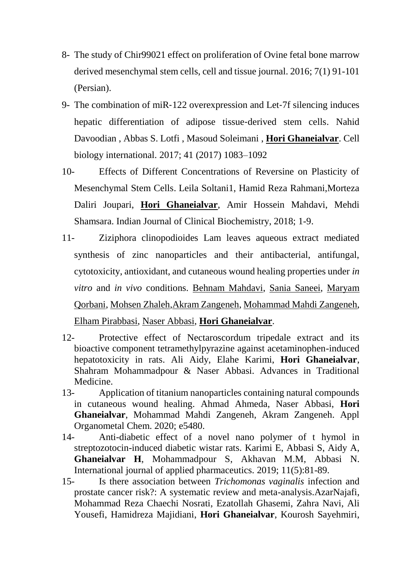- 8- The study of Chir99021 effect on proliferation of Ovine fetal bone marrow derived mesenchymal stem cells, cell and tissue journal. 2016; 7(1) 91-101 (Persian).
- 9- The combination of miR‐122 overexpression and Let‐7f silencing induces hepatic differentiation of adipose tissue-derived stem cells. Nahid [Davoodian](https://onlinelibrary.wiley.com/action/doSearch?ContribAuthorStored=Davoodian%2C+Nahid) , [Abbas S. Lotfi](https://onlinelibrary.wiley.com/action/doSearch?ContribAuthorStored=Lotfi%2C+Abbas+S) , [Masoud Soleimani](https://onlinelibrary.wiley.com/action/doSearch?ContribAuthorStored=Soleimani%2C+Masoud) , **[Hori Ghaneialvar](https://onlinelibrary.wiley.com/action/doSearch?ContribAuthorStored=Ghaneialvar%2C+Hori)**. Cell biology international. 2017; 41 (2017) 1083–1092
- 10- Effects of Different Concentrations of Reversine on Plasticity of Mesenchymal Stem Cells. Leila Soltani1, Hamid Reza Rahmani,Morteza Daliri Joupari, **Hori Ghaneialvar**, Amir Hossein Mahdavi, Mehdi Shamsara. Indian Journal of Clinical Biochemistry, 2018; 1-9.
- 11- Ziziphora clinopodioides Lam leaves aqueous extract mediated synthesis of zinc nanoparticles and their antibacterial, antifungal, cytotoxicity, antioxidant, and cutaneous wound healing properties under *in vitro* and *in vivo* conditions. [Behnam Mahdavi,](https://onlinelibrary.wiley.com/action/doSearch?ContribAuthorStored=Mahdavi%2C+Behnam) [Sania Saneei,](https://onlinelibrary.wiley.com/action/doSearch?ContribAuthorStored=Saneei%2C+Sania) [Maryam](https://onlinelibrary.wiley.com/action/doSearch?ContribAuthorStored=Qorbani%2C+Maryam)  [Qorbani,](https://onlinelibrary.wiley.com/action/doSearch?ContribAuthorStored=Qorbani%2C+Maryam) [Mohsen Zhaleh,](https://onlinelibrary.wiley.com/action/doSearch?ContribAuthorStored=Zhaleh%2C+Mohsen)[Akram Zangeneh,](https://onlinelibrary.wiley.com/action/doSearch?ContribAuthorStored=Zangeneh%2C+Akram) [Mohammad Mahdi Zangeneh,](https://onlinelibrary.wiley.com/action/doSearch?ContribAuthorStored=Zangeneh%2C+Mohammad+Mahdi) [Elham Pirabbasi,](https://onlinelibrary.wiley.com/action/doSearch?ContribAuthorStored=Pirabbasi%2C+Elham) [Naser Abbasi,](https://onlinelibrary.wiley.com/action/doSearch?ContribAuthorStored=Abbasi%2C+Naser) **[Hori Ghaneialvar](https://onlinelibrary.wiley.com/action/doSearch?ContribAuthorStored=Ghaneialvar%2C+Hori)**.
- 12- Protective effect of Nectaroscordum tripedale extract and its bioactive component tetramethylpyrazine against acetaminophen-induced hepatotoxicity in rats. Ali Aidy, Elahe Karimi, **Hori Ghaneialvar**, Shahram Mohammadpour & Naser Abbasi. Advances in Traditional Medicine.
- 13- Application of titanium nanoparticles containing natural compounds in cutaneous wound healing. Ahmad Ahmeda, Naser Abbasi, **Hori Ghaneialvar**, Mohammad Mahdi Zangeneh, Akram Zangeneh. Appl Organometal Chem. 2020; e5480.
- 14- Anti-diabetic effect of a novel nano polymer of t hymol in streptozotocin-induced diabetic wistar rats. Karimi E, Abbasi S, Aidy A, **Ghaneialvar H**, Mohammadpour S, Akhavan M.M, Abbasi N. International journal of applied pharmaceutics. 2019; 11(5):81-89.
- 15- Is there association between *Trichomonas vaginalis* infection and prostate cancer risk?: A systematic review and meta-analysis[.AzarNajafi,](https://www.sciencedirect.com/science/article/abs/pii/S088240101930854X?via%3Dihub#!) [Mohammad Reza Chaechi Nosrati, Ezatollah Ghasemi, Zahra Navi, Ali](https://www.sciencedirect.com/science/article/abs/pii/S088240101930854X?via%3Dihub#!)  [Yousefi, Hamidreza Majidiani,](https://www.sciencedirect.com/science/article/abs/pii/S088240101930854X?via%3Dihub#!) **[Hori Ghaneialvar](https://www.sciencedirect.com/science/article/abs/pii/S088240101930854X?via%3Dihub#!)**, [Kourosh Sayehmiri,](https://www.sciencedirect.com/science/article/abs/pii/S088240101930854X?via%3Dihub#!)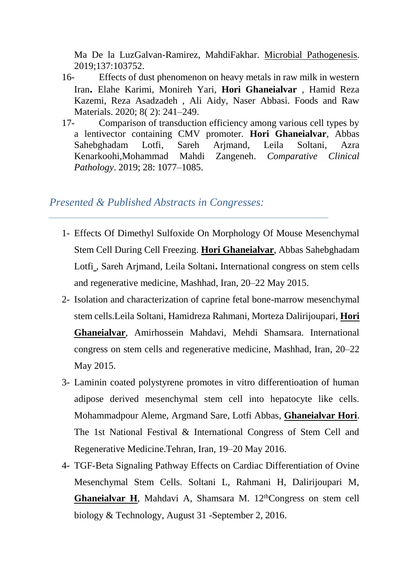[Ma De la LuzGalvan-Ramirez,](https://www.sciencedirect.com/science/article/abs/pii/S088240101930854X?via%3Dihub#!) [MahdiFakhar.](https://www.sciencedirect.com/science/article/abs/pii/S088240101930854X?via%3Dihub#!) [Microbial Pathogenesis.](https://www.sciencedirect.com/science/journal/08824010) 2019;137:103752.

- 16- Effects of dust phenomenon on heavy metals in raw milk in western Iran**.** Elahe Karimi, Monireh Yari, **Hori Ghaneialvar** , Hamid Reza Kazemi, Reza Asadzadeh , Ali Aidy, Naser Abbasi. Foods and Raw Materials. 2020; 8( 2): 241–249.
- 17- Comparison of transduction efficiency among various cell types by a lentivector containing CMV promoter. **[Hori Ghaneialvar](javascript:;)**, [Abbas](javascript:;)  [Sahebghadam Lotfi,](javascript:;) [Sareh Arjmand,](javascript:;) [Leila Soltani,](javascript:;) [Azra](javascript:;)  [Kenarkoohi,Mohammad Mahdi Zangeneh.](javascript:;) *[Comparative Clinical](https://link.springer.com/journal/580)  [Pathology](https://link.springer.com/journal/580)*. 2019; 28: 1077–1085.

#### *Presented & Published Abstracts in Congresses:*

- 1- Effects Of Dimethyl Sulfoxide On Morphology Of Mouse Mesenchymal Stem Cell During Cell Freezing. **Hori Ghaneialvar**, Abbas Sahebghadam Lotfi , Sareh Arjmand, Leila Soltani**.** International congress on stem cells and regenerative medicine, Mashhad, Iran, 20–22 May 2015.
- 2- Isolation and characterization of caprine fetal bone-marrow mesenchymal stem cells.Leila Soltani, Hamidreza Rahmani, Morteza Dalirijoupari, **Hori Ghaneialvar**, Amirhossein Mahdavi, Mehdi Shamsara. International congress on stem cells and regenerative medicine, Mashhad, Iran, 20–22 May 2015.
- 3- Laminin coated polystyrene promotes in vitro differentioation of human adipose derived mesenchymal stem cell into hepatocyte like cells. Mohammadpour Aleme, Argmand Sare, Lotfi Abbas, **Ghaneialvar Hori**. [The 1st National Festival & International Congress of Stem Cell and](http://www.rsct.ir/en/News/articleType/ArticleView/articleId/1301/The-1st-National-Festival-International-Congress-of-Stem-Cell-and-Regenerative-Medicine)  [Regenerative Medicine.](http://www.rsct.ir/en/News/articleType/ArticleView/articleId/1301/The-1st-National-Festival-International-Congress-of-Stem-Cell-and-Regenerative-Medicine)Tehran, Iran, 19–20 May 2016.
- 4- TGF-Beta Signaling Pathway Effects on Cardiac Differentiation of Ovine Mesenchymal Stem Cells. Soltani L, Rahmani H, Dalirijoupari M, **Ghaneialvar H**, Mahdavi A, Shamsara M. 12<sup>th</sup>Congress on stem cell biology & Technology, August 31 -September 2, 2016.